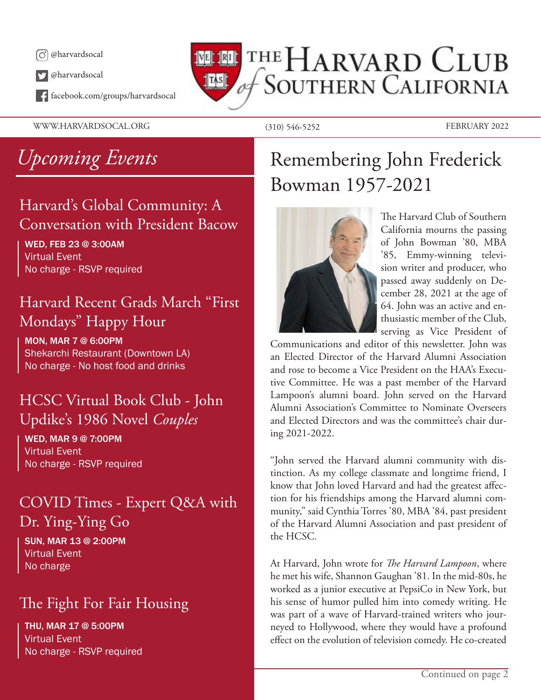

@harvardsocal

facebook.com/groups/harvardsocal

WWW.HARVARDSOCAL.ORG (310) 546-5252 FEBRUARY 2022

## THE HARVARD CLUB **SOUTHERN CALIFORNIA**  $\|$ TAS $\|$

## Harvard's Global Community: A Conversation with President Bacow

### WED, FEB 23 @ 3:00AM Virtual Event No charge - RSVP required

## Harvard Recent Grads March "First Mondays" Happy Hour

MON, MAR 7 @ 6:00PM Shekarchi Restaurant (Downtown LA) No charge - No host food and drinks

## HCSC Virtual Book Club - John Updike's 1986 Novel *Couples*

WED, MAR 9 @ 7:00PM Virtual Event No charge - RSVP required

## COVID Times - Expert Q&A with Dr. Ying-Ying Go

SUN, MAR 13 @ 2:00PM Virtual Event No charge

## The Fight For Fair Housing

THU, MAR 17 @ 5:00PM Virtual Event No charge - RSVP required

## *Upcoming Events* Remembering John Frederick Bowman 1957-2021



The Harvard Club of Southern California mourns the passing of John Bowman '80, MBA '85, Emmy-winning television writer and producer, who passed away suddenly on December 28, 2021 at the age of 64. John was an active and enthusiastic member of the Club, serving as Vice President of

Communications and editor of this newsletter. John was an Elected Director of the Harvard Alumni Association and rose to become a Vice President on the HAA's Executive Committee. He was a past member of the Harvard Lampoon's alumni board. John served on the Harvard Alumni Association's Committee to Nominate Overseers and Elected Directors and was the committee's chair during 2021-2022.

"John served the Harvard alumni community with distinction. As my college classmate and longtime friend, I know that John loved Harvard and had the greatest affection for his friendships among the Harvard alumni community," said Cynthia Torres '80, MBA '84, past president of the Harvard Alumni Association and past president of the HCSC.

At Harvard, John wrote for *The Harvard Lampoon*, where he met his wife, Shannon Gaughan '81. In the mid-80s, he worked as a junior executive at PepsiCo in New York, but his sense of humor pulled him into comedy writing. He was part of a wave of Harvard-trained writers who journeyed to Hollywood, where they would have a profound effect on the evolution of television comedy. He co-created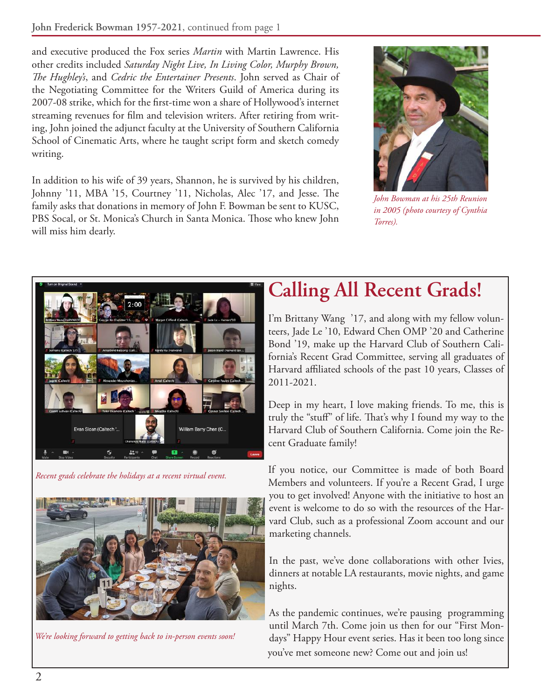and executive produced the Fox series *Martin* with Martin Lawrence. His other credits included *Saturday Night Live, In Living Color, Murphy Brown, The Hughley's*, and *Cedric the Entertainer Presents*. John served as Chair of the Negotiating Committee for the Writers Guild of America during its 2007-08 strike, which for the first-time won a share of Hollywood's internet streaming revenues for film and television writers. After retiring from writing, John joined the adjunct faculty at the University of Southern California School of Cinematic Arts, where he taught script form and sketch comedy writing.

In addition to his wife of 39 years, Shannon, he is survived by his children, Johnny '11, MBA '15, Courtney '11, Nicholas, Alec '17, and Jesse. The family asks that donations in memory of John F. Bowman be sent to KUSC, PBS Socal, or St. Monica's Church in Santa Monica. Those who knew John will miss him dearly.



*John Bowman at his 25th Reunion in 2005 (photo courtesy of Cynthia Torres).*



*Recent grads celebrate the holidays at a recent virtual event.*



*We're looking forward to getting back to in-person events soon!*

## **Calling All Recent Grads!**

I'm Brittany Wang '17, and along with my fellow volunteers, Jade Le '10, Edward Chen OMP '20 and Catherine Bond '19, make up the Harvard Club of Southern California's Recent Grad Committee, serving all graduates of Harvard affiliated schools of the past 10 years, Classes of 2011-2021.

Deep in my heart, I love making friends. To me, this is truly the "stuff" of life. That's why I found my way to the Harvard Club of Southern California. Come join the Recent Graduate family!

If you notice, our Committee is made of both Board Members and volunteers. If you're a Recent Grad, I urge you to get involved! Anyone with the initiative to host an event is welcome to do so with the resources of the Harvard Club, such as a professional Zoom account and our marketing channels.

In the past, we've done collaborations with other Ivies, dinners at notable LA restaurants, movie nights, and game nights.

As the pandemic continues, we're pausing programming until March 7th. Come join us then for our "First Mondays" Happy Hour event series. Has it been too long since you've met someone new? Come out and join us!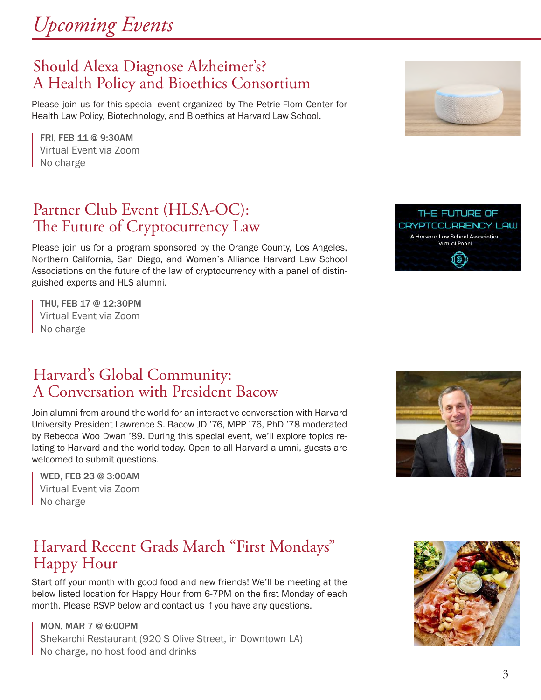

### Should Alexa Diagnose Alzheimer's? A Health Policy and Bioethics Consortium

Please join us for this special event organized by The Petrie-Flom Center for Health Law Policy, Biotechnology, and Bioethics at Harvard Law School.

FRI, FEB 11 @ 9:30AM Virtual Event via Zoom No charge

## Partner Club Event (HLSA-OC): The Future of Cryptocurrency Law

Please join us for a program sponsored by the Orange County, Los Angeles, Northern California, San Diego, and Women's Alliance Harvard Law School Associations on the future of the law of cryptocurrency with a panel of distinguished experts and HLS alumni.

THU, FEB 17 @ 12:30PM Virtual Event via Zoom No charge

## Harvard's Global Community: A Conversation with President Bacow

Join alumni from around the world for an interactive conversation with Harvard University President Lawrence S. Bacow JD '76, MPP '76, PhD '78 moderated by Rebecca Woo Dwan '89. During this special event, we'll explore topics relating to Harvard and the world today. Open to all Harvard alumni, guests are welcomed to submit questions.

WED, FEB 23 @ 3:00AM Virtual Event via Zoom No charge

## Harvard Recent Grads March "First Mondays" Happy Hour

Start off your month with good food and new friends! We'll be meeting at the below listed location for Happy Hour from 6-7PM on the first Monday of each month. Please RSVP below and contact us if you have any questions.

MON, MAR 7 @ 6:00PM Shekarchi Restaurant (920 S Olive Street, in Downtown LA) No charge, no host food and drinks









THE FUTURE OF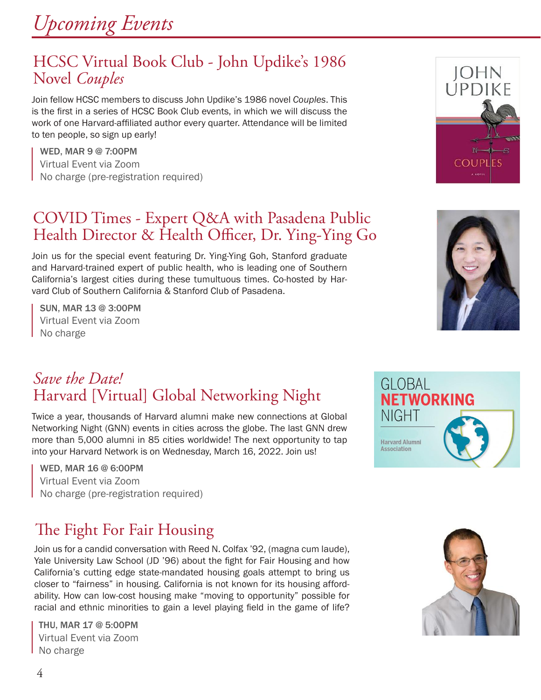### HCSC Virtual Book Club - John Updike's 1986 Novel *Couples*

Join fellow HCSC members to discuss John Updike's 1986 novel *Couples*. This is the first in a series of HCSC Book Club events, in which we will discuss the work of one Harvard-affiliated author every quarter. Attendance will be limited to ten people, so sign up early!

WED, MAR 9 @ 7:00PM Virtual Event via Zoom No charge (pre-registration required)

### COVID Times - Expert Q&A with Pasadena Public Health Director & Health Officer, Dr. Ying-Ying Go

Join us for the special event featuring Dr. Ying-Ying Goh, Stanford graduate and Harvard-trained expert of public health, who is leading one of Southern California's largest cities during these tumultuous times. Co-hosted by Harvard Club of Southern California & Stanford Club of Pasadena.

SUN, MAR 13 @ 3:00PM Virtual Event via Zoom No charge





## *Save the Date!* Harvard [Virtual] Global Networking Night

Twice a year, thousands of Harvard alumni make new connections at Global Networking Night (GNN) events in cities across the globe. The last GNN drew more than 5,000 alumni in 85 cities worldwide! The next opportunity to tap into your Harvard Network is on Wednesday, March 16, 2022. Join us!

WED, MAR 16 @ 6:00PM Virtual Event via Zoom No charge (pre-registration required)

## The Fight For Fair Housing

Join us for a candid conversation with Reed N. Colfax '92, (magna cum laude), Yale University Law School (JD '96) about the fight for Fair Housing and how California's cutting edge state-mandated housing goals attempt to bring us closer to "fairness" in housing. California is not known for its housing affordability. How can low-cost housing make "moving to opportunity" possible for racial and ethnic minorities to gain a level playing field in the game of life?

THU, MAR 17 @ 5:00PM Virtual Event via Zoom No charge



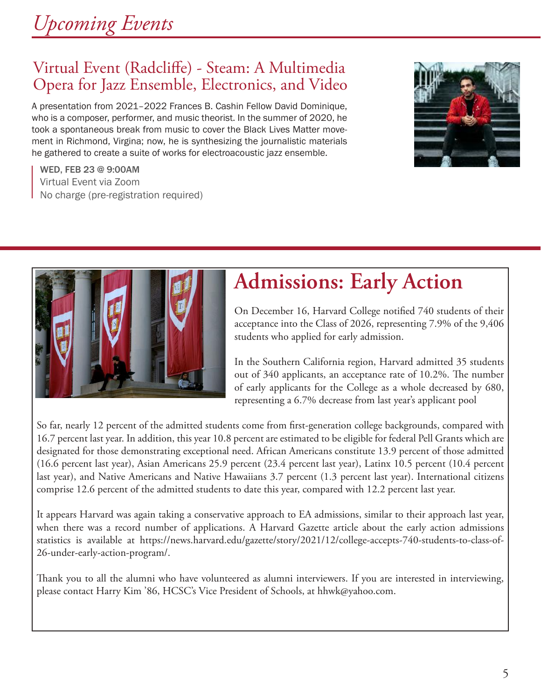# *Upcoming Events*

## Virtual Event (Radcliffe) - Steam: A Multimedia Opera for Jazz Ensemble, Electronics, and Video

A presentation from 2021–2022 Frances B. Cashin Fellow David Dominique, who is a composer, performer, and music theorist. In the summer of 2020, he took a spontaneous break from music to cover the Black Lives Matter movement in Richmond, Virgina; now, he is synthesizing the journalistic materials he gathered to create a suite of works for electroacoustic jazz ensemble.

WED, FEB 23 @ 9:00AM Virtual Event via Zoom No charge (pre-registration required)



On December 16, Harvard College notified 740 students of their acceptance into the Class of 2026, representing 7.9% of the 9,406 students who applied for early admission.

In the Southern California region, Harvard admitted 35 students out of 340 applicants, an acceptance rate of 10.2%. The number of early applicants for the College as a whole decreased by 680, representing a 6.7% decrease from last year's applicant pool

So far, nearly 12 percent of the admitted students come from first-generation college backgrounds, compared with 16.7 percent last year. In addition, this year 10.8 percent are estimated to be eligible for federal Pell Grants which are designated for those demonstrating exceptional need. African Americans constitute 13.9 percent of those admitted (16.6 percent last year), Asian Americans 25.9 percent (23.4 percent last year), Latinx 10.5 percent (10.4 percent last year), and Native Americans and Native Hawaiians 3.7 percent (1.3 percent last year). International citizens comprise 12.6 percent of the admitted students to date this year, compared with 12.2 percent last year.

It appears Harvard was again taking a conservative approach to EA admissions, similar to their approach last year, when there was a record number of applications. A Harvard Gazette article about the early action admissions statistics is available at https://news.harvard.edu/gazette/story/2021/12/college-accepts-740-students-to-class-of-26-under-early-action-program/.

Thank you to all the alumni who have volunteered as alumni interviewers. If you are interested in interviewing, please contact Harry Kim '86, HCSC's Vice President of Schools, at hhwk@yahoo.com.



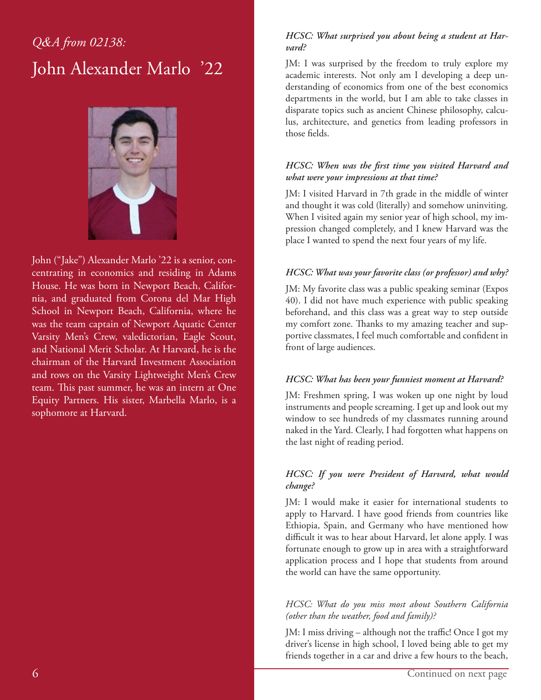## *Q&A from 02138:* John Alexander Marlo '22



John ("Jake") Alexander Marlo '22 is a senior, concentrating in economics and residing in Adams House. He was born in Newport Beach, California, and graduated from Corona del Mar High School in Newport Beach, California, where he was the team captain of Newport Aquatic Center Varsity Men's Crew, valedictorian, Eagle Scout, and National Merit Scholar. At Harvard, he is the chairman of the Harvard Investment Association and rows on the Varsity Lightweight Men's Crew team. This past summer, he was an intern at One Equity Partners. His sister, Marbella Marlo, is a sophomore at Harvard.

### *HCSC: What surprised you about being a student at Harvard?*

JM: I was surprised by the freedom to truly explore my academic interests. Not only am I developing a deep understanding of economics from one of the best economics departments in the world, but I am able to take classes in disparate topics such as ancient Chinese philosophy, calculus, architecture, and genetics from leading professors in those fields.

### *HCSC: When was the first time you visited Harvard and what were your impressions at that time?*

JM: I visited Harvard in 7th grade in the middle of winter and thought it was cold (literally) and somehow uninviting. When I visited again my senior year of high school, my impression changed completely, and I knew Harvard was the place I wanted to spend the next four years of my life.

### *HCSC: What was your favorite class (or professor) and why?*

JM: My favorite class was a public speaking seminar (Expos 40). I did not have much experience with public speaking beforehand, and this class was a great way to step outside my comfort zone. Thanks to my amazing teacher and supportive classmates, I feel much comfortable and confident in front of large audiences.

### *HCSC: What has been your funniest moment at Harvard?*

JM: Freshmen spring, I was woken up one night by loud instruments and people screaming. I get up and look out my window to see hundreds of my classmates running around naked in the Yard. Clearly, I had forgotten what happens on the last night of reading period.

### *HCSC: If you were President of Harvard, what would change?*

JM: I would make it easier for international students to apply to Harvard. I have good friends from countries like Ethiopia, Spain, and Germany who have mentioned how difficult it was to hear about Harvard, let alone apply. I was fortunate enough to grow up in area with a straightforward application process and I hope that students from around the world can have the same opportunity.

### *HCSC: What do you miss most about Southern California (other than the weather, food and family)?*

JM: I miss driving – although not the traffic! Once I got my driver's license in high school, I loved being able to get my friends together in a car and drive a few hours to the beach,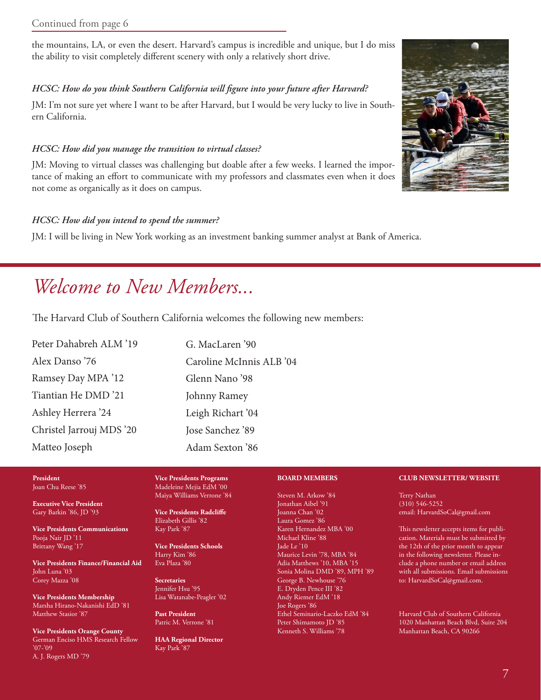the mountains, LA, or even the desert. Harvard's campus is incredible and unique, but I do miss the ability to visit completely different scenery with only a relatively short drive.

### *HCSC: How do you think Southern California will figure into your future after Harvard?*

JM: I'm not sure yet where I want to be after Harvard, but I would be very lucky to live in Southern California.

### *HCSC: How did you manage the transition to virtual classes?*

JM: Moving to virtual classes was challenging but doable after a few weeks. I learned the importance of making an effort to communicate with my professors and classmates even when it does not come as organically as it does on campus.

### *HCSC: How did you intend to spend the summer?*

JM: I will be living in New York working as an investment banking summer analyst at Bank of America.

## *Welcome to New Members...*

The Harvard Club of Southern California welcomes the following new members:

| Peter Dahabreh ALM '19   | G. MacLaren '90          |  |
|--------------------------|--------------------------|--|
| Alex Danso '76           | Caroline McInnis ALB '04 |  |
| Ramsey Day MPA '12       | Glenn Nano '98           |  |
| Tiantian He DMD '21      | Johnny Ramey             |  |
| Ashley Herrera '24       | Leigh Richart '04        |  |
| Christel Jarrouj MDS '20 | Jose Sanchez '89         |  |
| Matteo Joseph            | Adam Sexton '86          |  |

#### **President** Joan Chu Reese '85

**Executive Vice President** Gary Barkin '86, JD '93

**Vice Presidents Communications** Pooja Nair JD '11 Brittany Wang '17

**Vice Presidents Finance/Financial Aid** John Luna '03 Corey Mazza '08

**Vice Presidents Membership** Marsha Hirano-Nakanishi EdD '81 Matthew Stasior '87

**Vice Presidents Orange County** German Enciso HMS Research Fellow '07-'09 A. J. Rogers MD '79

**Vice Presidents Programs** Madeleine Mejia EdM '00 Maiya Williams Verrone '84

**Vice Presidents Radcliffe** Elizabeth Gillis '82 Kay Park '87

**Vice Presidents Schools** Harry Kim '86 Eva Plaza '80

**Secretaries** Jennifer Hsu '95 Lisa Watanabe-Peagler '02

**Past President** Patric M. Verrone '81

**HAA Regional Director** Kay Park '87

#### **BOARD MEMBERS**

Steven M. Arkow '84 Jonathan Aibel '91 Joanna Chan '02 Laura Gomez '86 Karen Hernandez MBA '00 Michael Kline '88 Jade Le '10 Maurice Levin '78, MBA '84 Adia Matthews '10, MBA '15 Sonia Molina DMD '89, MPH '89 George B. Newhouse '76 E. Dryden Pence III '82 Andy Riemer EdM '18 Joe Rogers '86 Ethel Seminario-Laczko EdM '84 Peter Shimamoto JD '85 Kenneth S. Williams '78

#### **CLUB NEWSLETTER/ WEBSITE**

Terry Nathan (310) 546-5252 email: HarvardSoCal@gmail.com

This newsletter accepts items for publication. Materials must be submitted by the 12th of the prior month to appear in the following newsletter. Please include a phone number or email address with all submissions. Email submissions to: HarvardSoCal@gmail.com.

Harvard Club of Southern California 1020 Manhattan Beach Blvd, Suite 204 Manhattan Beach, CA 90266